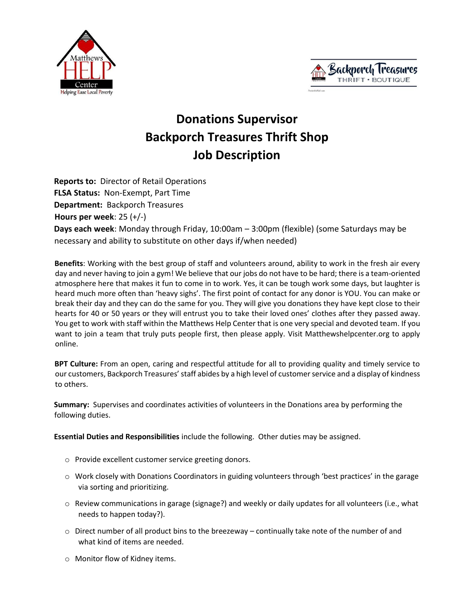



## **Donations Supervisor Backporch Treasures Thrift Shop Job Description**

**Reports to:** Director of Retail Operations **FLSA Status:** Non-Exempt, Part Time **Department:** Backporch Treasures **Hours per week**: 25 (+/-) **Days each week**: Monday through Friday, 10:00am – 3:00pm (flexible) (some Saturdays may be necessary and ability to substitute on other days if/when needed)

**Benefits**: Working with the best group of staff and volunteers around, ability to work in the fresh air every day and never having to join a gym! We believe that our jobs do not have to be hard; there is a team-oriented atmosphere here that makes it fun to come in to work. Yes, it can be tough work some days, but laughter is heard much more often than 'heavy sighs'. The first point of contact for any donor is YOU. You can make or break their day and they can do the same for you. They will give you donations they have kept close to their hearts for 40 or 50 years or they will entrust you to take their loved ones' clothes after they passed away. You get to work with staff within the Matthews Help Center that is one very special and devoted team. If you want to join a team that truly puts people first, then please apply. Visit Matthewshelpcenter.org to apply online.

**BPT Culture:** From an open, caring and respectful attitude for all to providing quality and timely service to our customers, Backporch Treasures' staff abides by a high level of customer service and a display of kindness to others.

**Summary:** Supervises and coordinates activities of volunteers in the Donations area by performing the following duties.

**Essential Duties and Responsibilities** include the following. Other duties may be assigned.

- o Provide excellent customer service greeting donors.
- o Work closely with Donations Coordinators in guiding volunteers through 'best practices' in the garage via sorting and prioritizing.
- o Review communications in garage (signage?) and weekly or daily updates for all volunteers (i.e., what needs to happen today?).
- $\circ$  Direct number of all product bins to the breezeway continually take note of the number of and what kind of items are needed.
- o Monitor flow of Kidney items.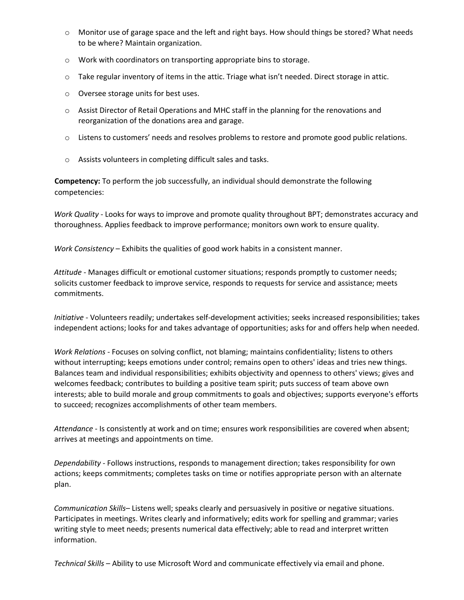- o Monitor use of garage space and the left and right bays. How should things be stored? What needs to be where? Maintain organization.
- o Work with coordinators on transporting appropriate bins to storage.
- o Take regular inventory of items in the attic. Triage what isn't needed. Direct storage in attic.
- o Oversee storage units for best uses.
- o Assist Director of Retail Operations and MHC staff in the planning for the renovations and reorganization of the donations area and garage.
- o Listens to customers' needs and resolves problems to restore and promote good public relations.
- o Assists volunteers in completing difficult sales and tasks.

**Competency:** To perform the job successfully, an individual should demonstrate the following competencies:

*Work Quality* - Looks for ways to improve and promote quality throughout BPT; demonstrates accuracy and thoroughness. Applies feedback to improve performance; monitors own work to ensure quality.

*Work Consistency* – Exhibits the qualities of good work habits in a consistent manner.

*Attitude* - Manages difficult or emotional customer situations; responds promptly to customer needs; solicits customer feedback to improve service, responds to requests for service and assistance; meets commitments.

*Initiative* - Volunteers readily; undertakes self-development activities; seeks increased responsibilities; takes independent actions; looks for and takes advantage of opportunities; asks for and offers help when needed.

*Work Relations* - Focuses on solving conflict, not blaming; maintains confidentiality; listens to others without interrupting; keeps emotions under control; remains open to others' ideas and tries new things. Balances team and individual responsibilities; exhibits objectivity and openness to others' views; gives and welcomes feedback; contributes to building a positive team spirit; puts success of team above own interests; able to build morale and group commitments to goals and objectives; supports everyone's efforts to succeed; recognizes accomplishments of other team members.

*Attendance* - Is consistently at work and on time; ensures work responsibilities are covered when absent; arrives at meetings and appointments on time.

*Dependability* - Follows instructions, responds to management direction; takes responsibility for own actions; keeps commitments; completes tasks on time or notifies appropriate person with an alternate plan.

*Communication Skills*– Listens well; speaks clearly and persuasively in positive or negative situations. Participates in meetings. Writes clearly and informatively; edits work for spelling and grammar; varies writing style to meet needs; presents numerical data effectively; able to read and interpret written information.

*Technical Skills* – Ability to use Microsoft Word and communicate effectively via email and phone.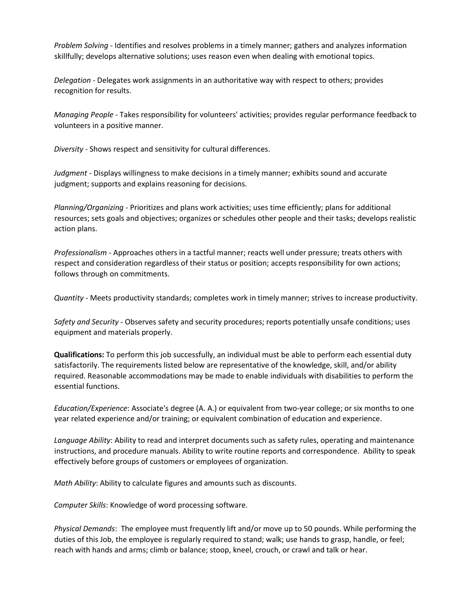*Problem Solving* - Identifies and resolves problems in a timely manner; gathers and analyzes information skillfully; develops alternative solutions; uses reason even when dealing with emotional topics.

*Delegation* - Delegates work assignments in an authoritative way with respect to others; provides recognition for results.

*Managing People* - Takes responsibility for volunteers' activities; provides regular performance feedback to volunteers in a positive manner.

*Diversity* - Shows respect and sensitivity for cultural differences.

*Judgment* - Displays willingness to make decisions in a timely manner; exhibits sound and accurate judgment; supports and explains reasoning for decisions.

*Planning/Organizing* - Prioritizes and plans work activities; uses time efficiently; plans for additional resources; sets goals and objectives; organizes or schedules other people and their tasks; develops realistic action plans.

*Professionalism* - Approaches others in a tactful manner; reacts well under pressure; treats others with respect and consideration regardless of their status or position; accepts responsibility for own actions; follows through on commitments.

*Quantity* - Meets productivity standards; completes work in timely manner; strives to increase productivity.

*Safety and Security* - Observes safety and security procedures; reports potentially unsafe conditions; uses equipment and materials properly.

**Qualifications:** To perform this job successfully, an individual must be able to perform each essential duty satisfactorily. The requirements listed below are representative of the knowledge, skill, and/or ability required. Reasonable accommodations may be made to enable individuals with disabilities to perform the essential functions.

*Education/Experience*: Associate's degree (A. A.) or equivalent from two-year college; or six months to one year related experience and/or training; or equivalent combination of education and experience.

*Language Ability*: Ability to read and interpret documents such as safety rules, operating and maintenance instructions, and procedure manuals. Ability to write routine reports and correspondence. Ability to speak effectively before groups of customers or employees of organization.

*Math Ability*: Ability to calculate figures and amounts such as discounts.

*Computer Skills*: Knowledge of word processing software.

*Physical Demands*: The employee must frequently lift and/or move up to 50 pounds. While performing the duties of this Job, the employee is regularly required to stand; walk; use hands to grasp, handle, or feel; reach with hands and arms; climb or balance; stoop, kneel, crouch, or crawl and talk or hear.